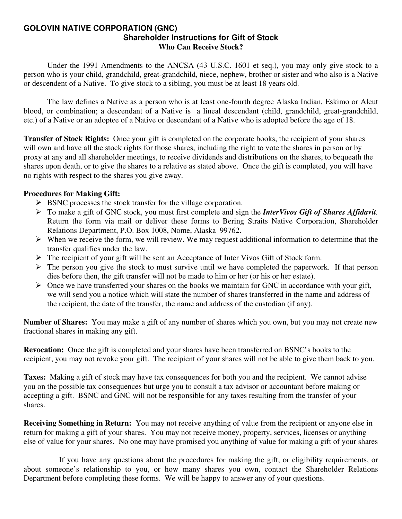#### **GOLOVIN NATIVE CORPORATION (GNC) Shareholder Instructions for Gift of Stock Who Can Receive Stock?**

 Under the 1991 Amendments to the ANCSA (43 U.S.C. 1601 et seq.), you may only give stock to a person who is your child, grandchild, great-grandchild, niece, nephew, brother or sister and who also is a Native or descendent of a Native. To give stock to a sibling, you must be at least 18 years old.

 The law defines a Native as a person who is at least one-fourth degree Alaska Indian, Eskimo or Aleut blood, or combination; a descendant of a Native is a lineal descendant (child, grandchild, great-grandchild, etc.) of a Native or an adoptee of a Native or descendant of a Native who is adopted before the age of 18.

**Transfer of Stock Rights:** Once your gift is completed on the corporate books, the recipient of your shares will own and have all the stock rights for those shares, including the right to vote the shares in person or by proxy at any and all shareholder meetings, to receive dividends and distributions on the shares, to bequeath the shares upon death, or to give the shares to a relative as stated above. Once the gift is completed, you will have no rights with respect to the shares you give away.

### **Procedures for Making Gift:**

- $\triangleright$  BSNC processes the stock transfer for the village corporation.
- ¾ To make a gift of GNC stock, you must first complete and sign the *InterVivos Gift of Shares Affidavit.* Return the form via mail or deliver these forms to Bering Straits Native Corporation, Shareholder Relations Department, P.O. Box 1008, Nome, Alaska 99762.
- $\triangleright$  When we receive the form, we will review. We may request additional information to determine that the transfer qualifies under the law.
- $\triangleright$  The recipient of your gift will be sent an Acceptance of Inter Vivos Gift of Stock form.
- $\triangleright$  The person you give the stock to must survive until we have completed the paperwork. If that person dies before then, the gift transfer will not be made to him or her (or his or her estate).
- $\triangleright$  Once we have transferred your shares on the books we maintain for GNC in accordance with your gift, we will send you a notice which will state the number of shares transferred in the name and address of the recipient, the date of the transfer, the name and address of the custodian (if any).

**Number of Shares:** You may make a gift of any number of shares which you own, but you may not create new fractional shares in making any gift.

**Revocation:** Once the gift is completed and your shares have been transferred on BSNC's books to the recipient, you may not revoke your gift. The recipient of your shares will not be able to give them back to you.

**Taxes:** Making a gift of stock may have tax consequences for both you and the recipient. We cannot advise you on the possible tax consequences but urge you to consult a tax advisor or accountant before making or accepting a gift. BSNC and GNC will not be responsible for any taxes resulting from the transfer of your shares.

**Receiving Something in Return:** You may not receive anything of value from the recipient or anyone else in return for making a gift of your shares. You may not receive money, property, services, licenses or anything else of value for your shares. No one may have promised you anything of value for making a gift of your shares

 If you have any questions about the procedures for making the gift, or eligibility requirements, or about someone's relationship to you, or how many shares you own, contact the Shareholder Relations Department before completing these forms. We will be happy to answer any of your questions.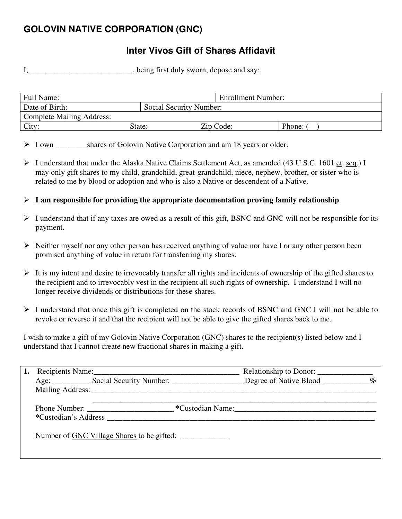# **GOLOVIN NATIVE CORPORATION (GNC)**

# **Inter Vivos Gift of Shares Affidavit**

I, \_\_\_\_\_\_\_\_\_\_\_\_\_\_\_\_\_\_\_\_\_\_, being first duly sworn, depose and say:

| Full Name:                       |                         | <b>Enrollment Number:</b> |        |
|----------------------------------|-------------------------|---------------------------|--------|
| Date of Birth:                   | Social Security Number: |                           |        |
| <b>Complete Mailing Address:</b> |                         |                           |        |
| City:                            | State:                  | Zip Code:                 | Phone: |

> I own shares of Golovin Native Corporation and am 18 years or older.

- $\triangleright$  I understand that under the Alaska Native Claims Settlement Act, as amended (43 U.S.C. 1601 et. seq.) I may only gift shares to my child, grandchild, great-grandchild, niece, nephew, brother, or sister who is related to me by blood or adoption and who is also a Native or descendent of a Native.
- ¾ **I am responsible for providing the appropriate documentation proving family relationship**.
- $\triangleright$  I understand that if any taxes are owed as a result of this gift, BSNC and GNC will not be responsible for its payment.
- $\triangleright$  Neither myself nor any other person has received anything of value nor have I or any other person been promised anything of value in return for transferring my shares.
- $\triangleright$  It is my intent and desire to irrevocably transfer all rights and incidents of ownership of the gifted shares to the recipient and to irrevocably vest in the recipient all such rights of ownership. I understand I will no longer receive dividends or distributions for these shares.
- ¾ I understand that once this gift is completed on the stock records of BSNC and GNC I will not be able to revoke or reverse it and that the recipient will not be able to give the gifted shares back to me.

I wish to make a gift of my Golovin Native Corporation (GNC) shares to the recipient(s) listed below and I understand that I cannot create new fractional shares in making a gift.

|                      | Recipients Name: 1988                                                                                                                                                                                                          |                  |  |
|----------------------|--------------------------------------------------------------------------------------------------------------------------------------------------------------------------------------------------------------------------------|------------------|--|
|                      | Age: Social Security Number: Degree of Native Blood ________ %                                                                                                                                                                 |                  |  |
|                      | Mailing Address: New York 2014 19:30 and 2014 19:30 and 2014 19:30 and 2014 19:30 and 2014 19:30 and 2014 19:30 and 2014 19:30 and 2014 19:30 and 2014 19:30 and 2014 19:30 and 2014 19:30 and 2014 19:30 and 2014 19:30 and 2 |                  |  |
|                      |                                                                                                                                                                                                                                | *Custodian Name: |  |
| *Custodian's Address |                                                                                                                                                                                                                                |                  |  |
|                      | Number of GNC Village Shares to be gifted:                                                                                                                                                                                     |                  |  |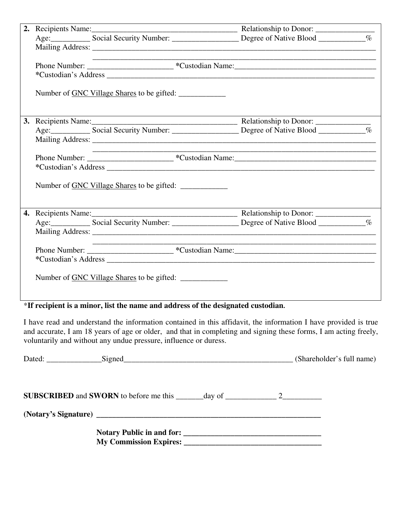|  | <u> 1980 - Johann John Stone, mars and de final and design and design and design and design and design and design and design and design and design and design and design and design and design and design and design and design </u> | <u> 1989 - Johann Stoff, amerikansk politiker (d. 1989)</u> |  |
|--|--------------------------------------------------------------------------------------------------------------------------------------------------------------------------------------------------------------------------------------|-------------------------------------------------------------|--|
|  |                                                                                                                                                                                                                                      |                                                             |  |
|  |                                                                                                                                                                                                                                      |                                                             |  |
|  | Number of GNC Village Shares to be gifted:                                                                                                                                                                                           |                                                             |  |
|  |                                                                                                                                                                                                                                      |                                                             |  |
|  |                                                                                                                                                                                                                                      |                                                             |  |
|  |                                                                                                                                                                                                                                      |                                                             |  |
|  |                                                                                                                                                                                                                                      |                                                             |  |
|  |                                                                                                                                                                                                                                      |                                                             |  |
|  |                                                                                                                                                                                                                                      |                                                             |  |
|  | Number of <u>GNC Village Shares</u> to be gifted:                                                                                                                                                                                    |                                                             |  |
|  |                                                                                                                                                                                                                                      |                                                             |  |
|  |                                                                                                                                                                                                                                      |                                                             |  |
|  |                                                                                                                                                                                                                                      |                                                             |  |
|  |                                                                                                                                                                                                                                      |                                                             |  |
|  |                                                                                                                                                                                                                                      |                                                             |  |
|  | *Custodian's Address experience and the set of the set of the set of the set of the set of the set of the set of the set of the set of the set of the set of the set of the set of the set of the set of the set of the set of       |                                                             |  |
|  | Number of <u>GNC Village Shares</u> to be gifted:                                                                                                                                                                                    |                                                             |  |

### \***If recipient is a minor, list the name and address of the designated custodian.**

I have read and understand the information contained in this affidavit, the information I have provided is true and accurate, I am 18 years of age or older, and that in completing and signing these forms, I am acting freely, voluntarily and without any undue pressure, influence or duress.

| Dated: Signed Contains Signed Contains and Signed Contains a series of the series of the Signed Contains and Signed Contains a series of the series of the series of the series of the series of the series of the series of t |  | (Shareholder's full name) |
|--------------------------------------------------------------------------------------------------------------------------------------------------------------------------------------------------------------------------------|--|---------------------------|
| <b>SUBSCRIBED</b> and <b>SWORN</b> to before me this $\_\_\_\_\_$ day of $\_\_\_\_\_\_$ 2                                                                                                                                      |  |                           |
|                                                                                                                                                                                                                                |  |                           |
| My Commission Expires: 2008. The Commission Expires:                                                                                                                                                                           |  |                           |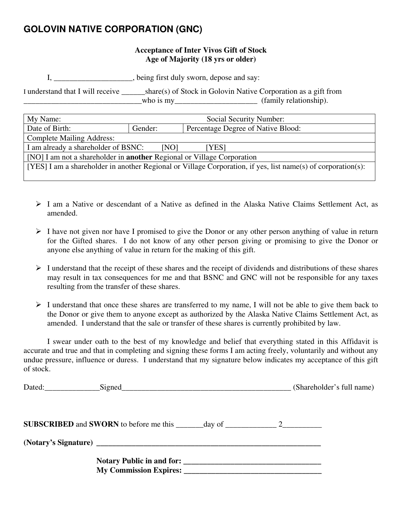# **GOLOVIN NATIVE CORPORATION (GNC)**

### **Acceptance of Inter Vivos Gift of Stock Age of Majority (18 yrs or older)**

I, \_\_\_\_\_\_\_\_\_\_\_\_\_\_\_\_\_\_\_\_, being first duly sworn, depose and say:

I understand that I will receive \_\_\_\_\_\_share(s) of Stock in Golovin Native Corporation as a gift from \_\_\_\_\_\_\_\_\_\_\_\_\_\_\_\_\_\_\_\_\_\_\_\_\_\_\_\_\_\_who is my\_\_\_\_\_\_\_\_\_\_\_\_\_\_\_\_\_\_\_\_\_ (family relationship).

| My Name:                                                                                                     | Social Security Number:                       |  |  |
|--------------------------------------------------------------------------------------------------------------|-----------------------------------------------|--|--|
| Date of Birth:                                                                                               | Percentage Degree of Native Blood:<br>Gender: |  |  |
| <b>Complete Mailing Address:</b>                                                                             |                                               |  |  |
| I am already a shareholder of BSNC:<br>[NO]<br>[YES]                                                         |                                               |  |  |
| [NO] I am not a shareholder in <b>another</b> Regional or Village Corporation                                |                                               |  |  |
| [YES] I am a shareholder in another Regional or Village Corporation, if yes, list name(s) of corporation(s): |                                               |  |  |
|                                                                                                              |                                               |  |  |

- ¾ I am a Native or descendant of a Native as defined in the Alaska Native Claims Settlement Act, as amended.
- $\triangleright$  I have not given nor have I promised to give the Donor or any other person anything of value in return for the Gifted shares. I do not know of any other person giving or promising to give the Donor or anyone else anything of value in return for the making of this gift.
- $\triangleright$  I understand that the receipt of these shares and the receipt of dividends and distributions of these shares may result in tax consequences for me and that BSNC and GNC will not be responsible for any taxes resulting from the transfer of these shares.
- $\triangleright$  I understand that once these shares are transferred to my name, I will not be able to give them back to the Donor or give them to anyone except as authorized by the Alaska Native Claims Settlement Act, as amended. I understand that the sale or transfer of these shares is currently prohibited by law.

 I swear under oath to the best of my knowledge and belief that everything stated in this Affidavit is accurate and true and that in completing and signing these forms I am acting freely, voluntarily and without any undue pressure, influence or duress. I understand that my signature below indicates my acceptance of this gift of stock.

| Dated: Signed Signed Signed Signed Signed Signed Signed Signed Signed Signed Signed Signed Signed Signed Signed Signed Signed Signed Signed Signed Signed Signed Signed Signed Signed Signed Signed Signed Signed Signed Signe | (Shareholder's full name) |
|--------------------------------------------------------------------------------------------------------------------------------------------------------------------------------------------------------------------------------|---------------------------|
|                                                                                                                                                                                                                                |                           |
|                                                                                                                                                                                                                                |                           |
|                                                                                                                                                                                                                                |                           |